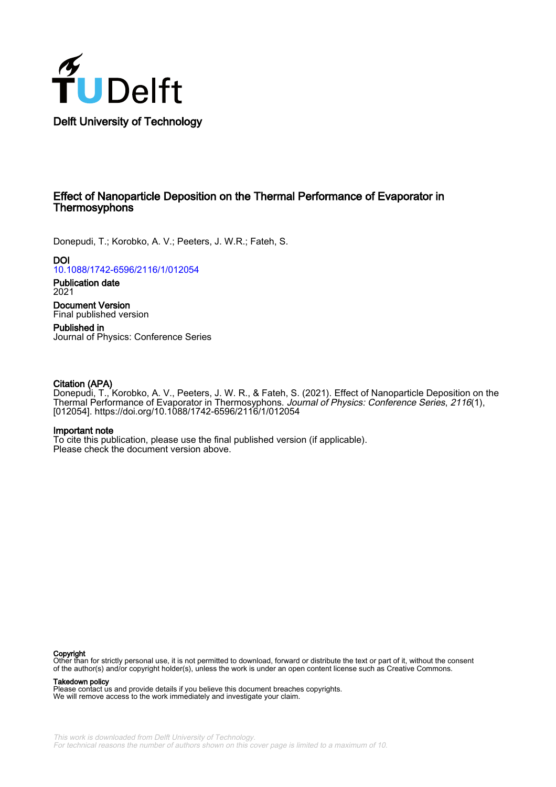

# Effect of Nanoparticle Deposition on the Thermal Performance of Evaporator in **Thermosyphons**

Donepudi, T.; Korobko, A. V.; Peeters, J. W.R.; Fateh, S.

**DOI** [10.1088/1742-6596/2116/1/012054](https://doi.org/10.1088/1742-6596/2116/1/012054)

Publication date 2021

Document Version Final published version

Published in Journal of Physics: Conference Series

## Citation (APA)

Donepudi, T., Korobko, A. V., Peeters, J. W. R., & Fateh, S. (2021). Effect of Nanoparticle Deposition on the Thermal Performance of Evaporator in Thermosyphons. Journal of Physics: Conference Series, 2116(1), [012054].<https://doi.org/10.1088/1742-6596/2116/1/012054>

### Important note

To cite this publication, please use the final published version (if applicable). Please check the document version above.

#### Copyright

Other than for strictly personal use, it is not permitted to download, forward or distribute the text or part of it, without the consent of the author(s) and/or copyright holder(s), unless the work is under an open content license such as Creative Commons.

### Takedown policy

Please contact us and provide details if you believe this document breaches copyrights. We will remove access to the work immediately and investigate your claim.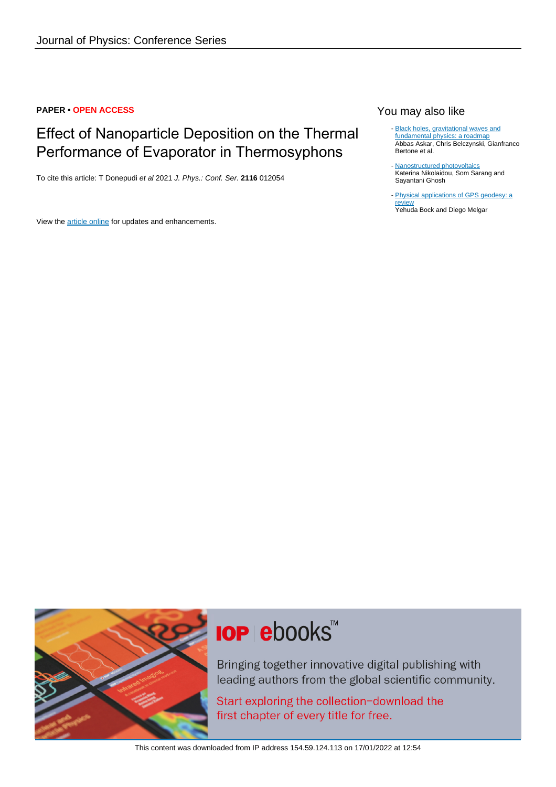# **PAPER • OPEN ACCESS**

# Effect of Nanoparticle Deposition on the Thermal Performance of Evaporator in Thermosyphons

To cite this article: T Donepudi et al 2021 J. Phys.: Conf. Ser. **2116** 012054

View the [article online](https://doi.org/10.1088/1742-6596/2116/1/012054) for updates and enhancements.

# You may also like

- [Black holes, gravitational waves and](/article/10.1088/1361-6382/ab0587) [fundamental physics: a roadmap](/article/10.1088/1361-6382/ab0587) Abbas Askar, Chris Belczynski, Gianfranco Bertone et al.

- [Nanostructured photovoltaics](/article/10.1088/2399-1984/ab02b5) Katerina Nikolaidou, Som Sarang and Sayantani Ghosh

- [Physical applications of GPS geodesy: a](/article/10.1088/0034-4885/79/10/106801) [review](/article/10.1088/0034-4885/79/10/106801)

Yehuda Bock and Diego Melgar



# **IOP ebooks™**

Bringing together innovative digital publishing with leading authors from the global scientific community.

Start exploring the collection-download the first chapter of every title for free.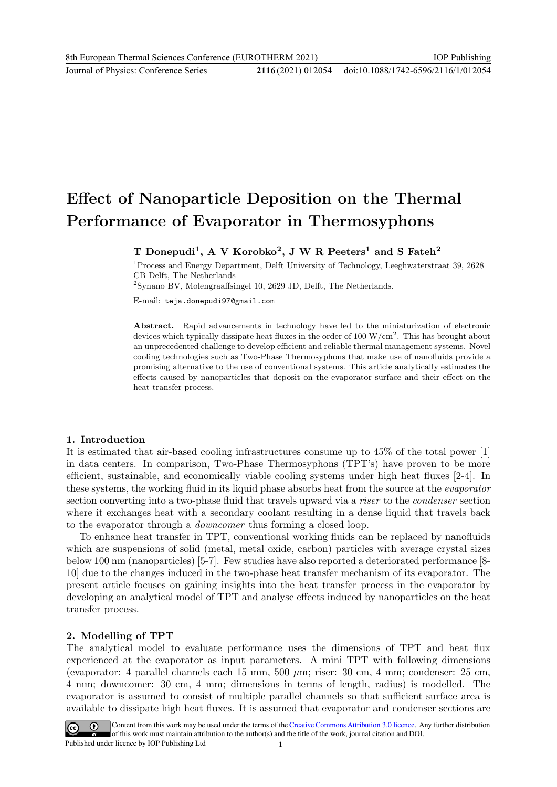Journal of Physics: Conference Series **2116** (2021) 012054

# Effect of Nanoparticle Deposition on the Thermal Performance of Evaporator in Thermosyphons

T Donepudi<sup>1</sup>, A V Korobko<sup>2</sup>, J W R Peeters<sup>1</sup> and S Fateh<sup>2</sup>

<sup>1</sup>Process and Energy Department, Delft University of Technology, Leeghwaterstraat 39, 2628 CB Delft, The Netherlands

<sup>2</sup>Synano BV, Molengraaffsingel 10, 2629 JD, Delft, The Netherlands.

E-mail: teja.donepudi97@gmail.com

Abstract. Rapid advancements in technology have led to the miniaturization of electronic devices which typically dissipate heat fluxes in the order of  $100 \text{ W/cm}^2$ . This has brought about an unprecedented challenge to develop efficient and reliable thermal management systems. Novel cooling technologies such as Two-Phase Thermosyphons that make use of nanofluids provide a promising alternative to the use of conventional systems. This article analytically estimates the effects caused by nanoparticles that deposit on the evaporator surface and their effect on the heat transfer process.

# 1. Introduction

It is estimated that air-based cooling infrastructures consume up to 45% of the total power [1] in data centers. In comparison, Two-Phase Thermosyphons (TPT's) have proven to be more efficient, sustainable, and economically viable cooling systems under high heat fluxes [2-4]. In these systems, the working fluid in its liquid phase absorbs heat from the source at the evaporator section converting into a two-phase fluid that travels upward via a *riser* to the *condenser* section where it exchanges heat with a secondary coolant resulting in a dense liquid that travels back to the evaporator through a downcomer thus forming a closed loop.

To enhance heat transfer in TPT, conventional working fluids can be replaced by nanofluids which are suspensions of solid (metal, metal oxide, carbon) particles with average crystal sizes below 100 nm (nanoparticles) [5-7]. Few studies have also reported a deteriorated performance [8- 10] due to the changes induced in the two-phase heat transfer mechanism of its evaporator. The present article focuses on gaining insights into the heat transfer process in the evaporator by developing an analytical model of TPT and analyse effects induced by nanoparticles on the heat transfer process.

# 2. Modelling of TPT

The analytical model to evaluate performance uses the dimensions of TPT and heat flux experienced at the evaporator as input parameters. A mini TPT with following dimensions (evaporator: 4 parallel channels each 15 mm, 500  $\mu$ m; riser: 30 cm, 4 mm; condenser: 25 cm, 4 mm; downcomer: 30 cm, 4 mm; dimensions in terms of length, radius) is modelled. The evaporator is assumed to consist of multiple parallel channels so that sufficient surface area is available to dissipate high heat fluxes. It is assumed that evaporator and condenser sections are

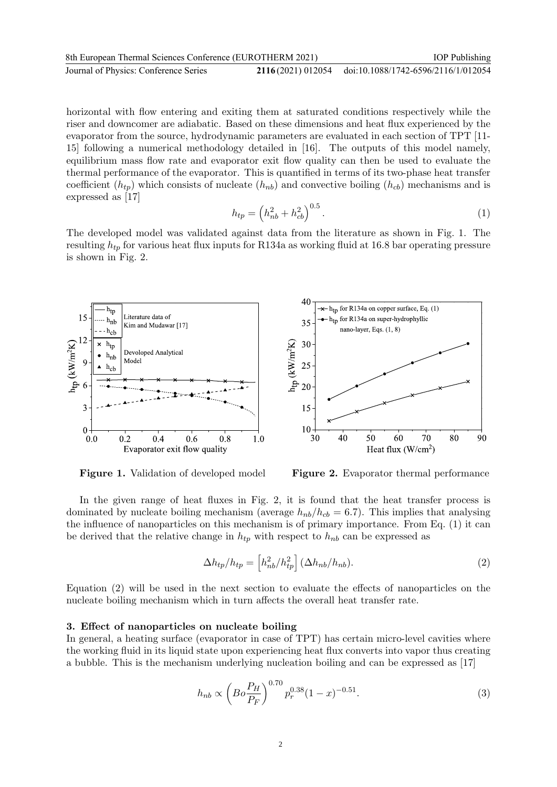| 8th European Thermal Sciences Conference (EUROTHERM 2021) |  | <b>IOP</b> Publishing                                 |
|-----------------------------------------------------------|--|-------------------------------------------------------|
| Journal of Physics: Conference Series                     |  | 2116(2021) 012054 doi:10.1088/1742-6596/2116/1/012054 |

horizontal with flow entering and exiting them at saturated conditions respectively while the riser and downcomer are adiabatic. Based on these dimensions and heat flux experienced by the evaporator from the source, hydrodynamic parameters are evaluated in each section of TPT [11- 15] following a numerical methodology detailed in [16]. The outputs of this model namely, equilibrium mass flow rate and evaporator exit flow quality can then be used to evaluate the thermal performance of the evaporator. This is quantified in terms of its two-phase heat transfer coefficient  $(h_{tp})$  which consists of nucleate  $(h_{nb})$  and convective boiling  $(h_{cb})$  mechanisms and is expressed as [17]

$$
h_{tp} = \left(h_{nb}^2 + h_{cb}^2\right)^{0.5}.
$$
 (1)

The developed model was validated against data from the literature as shown in Fig. 1. The resulting  $h_{tp}$  for various heat flux inputs for R134a as working fluid at 16.8 bar operating pressure is shown in Fig. 2.



Figure 1. Validation of developed model

Figure 2. Evaporator thermal performance

In the given range of heat fluxes in Fig. 2, it is found that the heat transfer process is dominated by nucleate boiling mechanism (average  $h_{nb}/h_{cb} = 6.7$ ). This implies that analysing the influence of nanoparticles on this mechanism is of primary importance. From Eq. (1) it can be derived that the relative change in  $h_{tp}$  with respect to  $h_{nb}$  can be expressed as

$$
\Delta h_{tp}/h_{tp} = \left[ h_{nb}^2/h_{tp}^2 \right] (\Delta h_{nb}/h_{nb}). \tag{2}
$$

Equation (2) will be used in the next section to evaluate the effects of nanoparticles on the nucleate boiling mechanism which in turn affects the overall heat transfer rate.

### 3. Effect of nanoparticles on nucleate boiling

In general, a heating surface (evaporator in case of TPT) has certain micro-level cavities where the working fluid in its liquid state upon experiencing heat flux converts into vapor thus creating a bubble. This is the mechanism underlying nucleation boiling and can be expressed as [17]

$$
h_{nb} \propto \left(Bo \frac{P_H}{P_F}\right)^{0.70} p_r^{0.38} (1-x)^{-0.51}.
$$
 (3)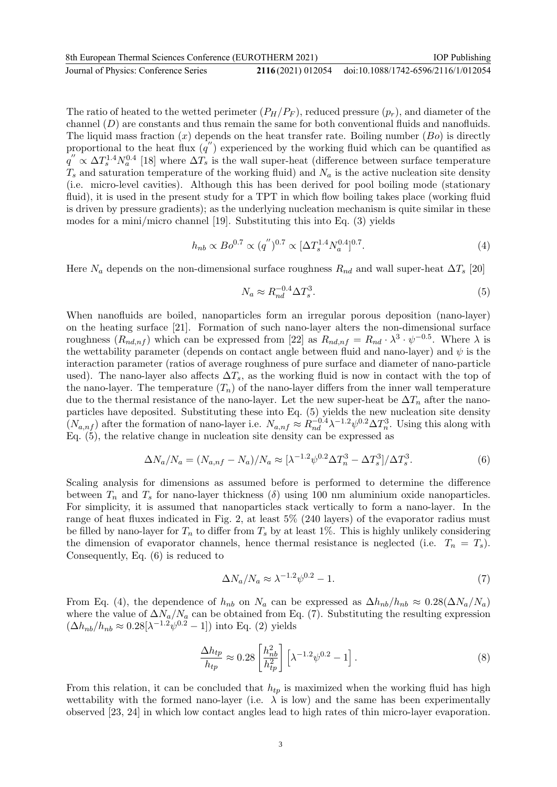| 8th European Thermal Sciences Conference (EUROTHERM 2021) |  | <b>IOP</b> Publishing                                 |
|-----------------------------------------------------------|--|-------------------------------------------------------|
| Journal of Physics: Conference Series                     |  | 2116(2021) 012054 doi:10.1088/1742-6596/2116/1/012054 |

The ratio of heated to the wetted perimeter  $(P_H/P_F)$ , reduced pressure  $(p_r)$ , and diameter of the channel  $(D)$  are constants and thus remain the same for both conventional fluids and nanofluids. The liquid mass fraction  $(x)$  depends on the heat transfer rate. Boiling number  $(B<sub>o</sub>)$  is directly proportional to the heat flux  $(q'')$  experienced by the working fluid which can be quantified as  $q'' \propto \Delta T_s^{1.4} N_a^{0.4}$  [18] where  $\Delta T_s$  is the wall super-heat (difference between surface temperature  $T_s$  and saturation temperature of the working fluid) and  $N_a$  is the active nucleation site density (i.e. micro-level cavities). Although this has been derived for pool boiling mode (stationary fluid), it is used in the present study for a TPT in which flow boiling takes place (working fluid is driven by pressure gradients); as the underlying nucleation mechanism is quite similar in these modes for a mini/micro channel [19]. Substituting this into Eq. (3) yields

$$
h_{nb} \propto Bo^{0.7} \propto (q'')^{0.7} \propto [\Delta T_s^{1.4} N_a^{0.4}]^{0.7}.
$$
 (4)

Here  $N_a$  depends on the non-dimensional surface roughness  $R_{nd}$  and wall super-heat  $\Delta T_s$  [20]

$$
N_a \approx R_{nd}^{-0.4} \Delta T_s^3. \tag{5}
$$

When nanofluids are boiled, nanoparticles form an irregular porous deposition (nano-layer) on the heating surface [21]. Formation of such nano-layer alters the non-dimensional surface roughness  $(R_{nd,nf})$  which can be expressed from [22] as  $R_{nd,nf} = R_{nd} \cdot \lambda^3 \cdot \psi^{-0.5}$ . Where  $\lambda$  is the wettability parameter (depends on contact angle between fluid and nano-layer) and  $\psi$  is the interaction parameter (ratios of average roughness of pure surface and diameter of nano-particle used). The nano-layer also affects  $\Delta T_s$ , as the working fluid is now in contact with the top of the nano-layer. The temperature  $(T_n)$  of the nano-layer differs from the inner wall temperature due to the thermal resistance of the nano-layer. Let the new super-heat be  $\Delta T_n$  after the nanoparticles have deposited. Substituting these into Eq. (5) yields the new nucleation site density  $(N_{a,n}f)$  after the formation of nano-layer i.e.  $N_{a,nf} \approx R_{nd}^{-0.4} \lambda^{-1.2} \psi^{0.2} \Delta T_n^3$ . Using this along with Eq. (5), the relative change in nucleation site density can be expressed as

$$
\Delta N_a / N_a = (N_{a,nf} - N_a) / N_a \approx [\lambda^{-1.2} \psi^{0.2} \Delta T_n^3 - \Delta T_s^3] / \Delta T_s^3.
$$
\n(6)

Scaling analysis for dimensions as assumed before is performed to determine the difference between  $T_n$  and  $T_s$  for nano-layer thickness ( $\delta$ ) using 100 nm aluminium oxide nanoparticles. For simplicity, it is assumed that nanoparticles stack vertically to form a nano-layer. In the range of heat fluxes indicated in Fig. 2, at least 5% (240 layers) of the evaporator radius must be filled by nano-layer for  $T_n$  to differ from  $T_s$  by at least 1%. This is highly unlikely considering the dimension of evaporator channels, hence thermal resistance is neglected (i.e.  $T_n = T_s$ ). Consequently, Eq. (6) is reduced to

$$
\Delta N_a / N_a \approx \lambda^{-1.2} \psi^{0.2} - 1. \tag{7}
$$

From Eq. (4), the dependence of  $h_{nb}$  on  $N_a$  can be expressed as  $\Delta h_{nb}/h_{nb} \approx 0.28(\Delta N_a/N_a)$ where the value of  $\Delta N_a/N_a$  can be obtained from Eq. (7). Substituting the resulting expression  $(\Delta h_{nb}/h_{nb} \approx 0.28[\lambda^{-1.2}\psi^{0.2} - 1])$  into Eq. (2) yields

$$
\frac{\Delta h_{tp}}{h_{tp}} \approx 0.28 \left[ \frac{h_{nb}^2}{h_{tp}^2} \right] \left[ \lambda^{-1.2} \psi^{0.2} - 1 \right]. \tag{8}
$$

From this relation, it can be concluded that  $h_{tp}$  is maximized when the working fluid has high wettability with the formed nano-layer (i.e.  $\lambda$  is low) and the same has been experimentally observed [23, 24] in which low contact angles lead to high rates of thin micro-layer evaporation.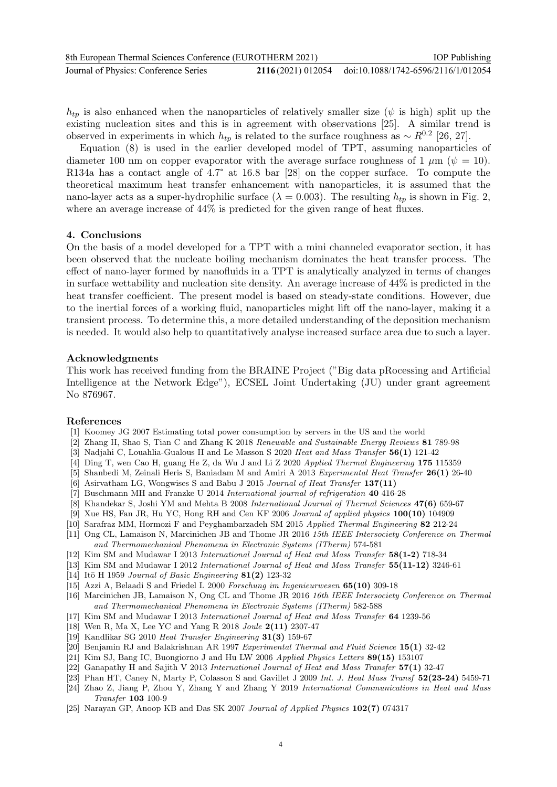| 8th European Thermal Sciences Conference (EUROTHERM 2021) |  | <b>IOP</b> Publishing                                 |
|-----------------------------------------------------------|--|-------------------------------------------------------|
| Journal of Physics: Conference Series                     |  | 2116(2021) 012054 doi:10.1088/1742-6596/2116/1/012054 |

 $h_{tp}$  is also enhanced when the nanoparticles of relatively smaller size ( $\psi$  is high) split up the existing nucleation sites and this is in agreement with observations [25]. A similar trend is observed in experiments in which  $h_{tp}$  is related to the surface roughness as ~  $R^{0.2}$  [26, 27].

Equation (8) is used in the earlier developed model of TPT, assuming nanoparticles of diameter 100 nm on copper evaporator with the average surface roughness of 1  $\mu$ m ( $\psi$  = 10). R134a has a contact angle of 4.7° at 16.8 bar [28] on the copper surface. To compute the theoretical maximum heat transfer enhancement with nanoparticles, it is assumed that the nano-layer acts as a super-hydrophilic surface ( $\lambda = 0.003$ ). The resulting  $h_{tp}$  is shown in Fig. 2, where an average increase of  $44\%$  is predicted for the given range of heat fluxes.

### 4. Conclusions

On the basis of a model developed for a TPT with a mini channeled evaporator section, it has been observed that the nucleate boiling mechanism dominates the heat transfer process. The effect of nano-layer formed by nanofluids in a TPT is analytically analyzed in terms of changes in surface wettability and nucleation site density. An average increase of 44% is predicted in the heat transfer coefficient. The present model is based on steady-state conditions. However, due to the inertial forces of a working fluid, nanoparticles might lift off the nano-layer, making it a transient process. To determine this, a more detailed understanding of the deposition mechanism is needed. It would also help to quantitatively analyse increased surface area due to such a layer.

### Acknowledgments

This work has received funding from the BRAINE Project ("Big data pRocessing and Artificial Intelligence at the Network Edge"), ECSEL Joint Undertaking (JU) under grant agreement No 876967.

### References

- [1] Koomey JG 2007 Estimating total power consumption by servers in the US and the world
- [2] Zhang H, Shao S, Tian C and Zhang K 2018 Renewable and Sustainable Energy Reviews 81 789-98
- [3] Nadjahi C, Louahlia-Gualous H and Le Masson S 2020 Heat and Mass Transfer 56(1) 121-42
- [4] Ding T, wen Cao H, guang He Z, da Wu J and Li Z 2020 Applied Thermal Engineering 175 115359
- [5] Shanbedi M, Zeinali Heris S, Baniadam M and Amiri A 2013 Experimental Heat Transfer 26(1) 26-40
- [6] Asirvatham LG, Wongwises S and Babu J 2015 Journal of Heat Transfer 137(11)
- [7] Buschmann MH and Franzke U 2014 International journal of refrigeration 40 416-28
- [8] Khandekar S, Joshi YM and Mehta B 2008 International Journal of Thermal Sciences 47(6) 659-67
- [9] Xue HS, Fan JR, Hu YC, Hong RH and Cen KF 2006 Journal of applied physics 100(10) 104909
- [10] Sarafraz MM, Hormozi F and Peyghambarzadeh SM 2015 Applied Thermal Engineering 82 212-24
- [11] Ong CL, Lamaison N, Marcinichen JB and Thome JR 2016 15th IEEE Intersociety Conference on Thermal and Thermomechanical Phenomena in Electronic Systems (ITherm) 574-581
- [12] Kim SM and Mudawar I 2013 International Journal of Heat and Mass Transfer 58(1-2) 718-34
- [13] Kim SM and Mudawar I 2012 International Journal of Heat and Mass Transfer 55(11-12) 3246-61
- [14] Itō H 1959 Journal of Basic Engineering 81(2) 123-32
- [15] Azzi A, Belaadi S and Friedel L 2000 Forschung im Ingenieurwesen 65(10) 309-18
- [16] Marcinichen JB, Lamaison N, Ong CL and Thome JR 2016 16th IEEE Intersociety Conference on Thermal and Thermomechanical Phenomena in Electronic Systems (ITherm) 582-588
- [17] Kim SM and Mudawar I 2013 International Journal of Heat and Mass Transfer 64 1239-56
- [18] Wen R, Ma X, Lee YC and Yang R 2018 Joule 2(11) 2307-47
- [19] Kandlikar SG 2010 Heat Transfer Engineering 31(3) 159-67
- [20] Benjamin RJ and Balakrishnan AR 1997 Experimental Thermal and Fluid Science 15(1) 32-42
- [21] Kim SJ, Bang IC, Buongiorno J and Hu LW 2006 Applied Physics Letters 89(15) 153107
- [22] Ganapathy H and Sajith V 2013 International Journal of Heat and Mass Transfer 57(1) 32-47
- [23] Phan HT, Caney N, Marty P, Colasson S and Gavillet J 2009 Int. J. Heat Mass Transf 52(23-24) 5459-71
- [24] Zhao Z, Jiang P, Zhou Y, Zhang Y and Zhang Y 2019 International Communications in Heat and Mass Transfer 103 100-9
- [25] Narayan GP, Anoop KB and Das SK 2007 Journal of Applied Physics 102(7) 074317